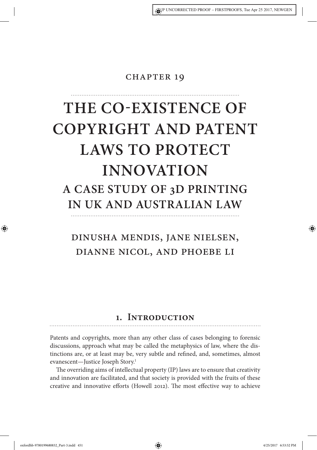### **CHAPTER 19**

# **THE CO-EXISTENCE OF COPYRIGHT AND PATENT LAWS TO PROTECT INNOVATION A CASE STUDY OF 3D PRINTING IN UK AND AUSTRALIAN LAW**

# Dinusha Mendis, Jane Nielsen, Dianne Nicol, and Phoebe Li

### **1. Introduction**

Patents and copyrights, more than any other class of cases belonging to forensic discussions, approach what may be called the metaphysics of law, where the distinctions are, or at least may be, very subtle and refned, and, sometimes, almost evanescent—Justice Joseph Story.<sup>1</sup>

The overriding aims of intellectual property (IP) laws are to ensure that creativity and innovation are facilitated, and that society is provided with the fruits of these creative and innovative efforts (Howell 2012). The most effective way to achieve

oxfordhb-9780199680832\_Part-3.indd 451 4/25/2017 6:53:52 PM

⊕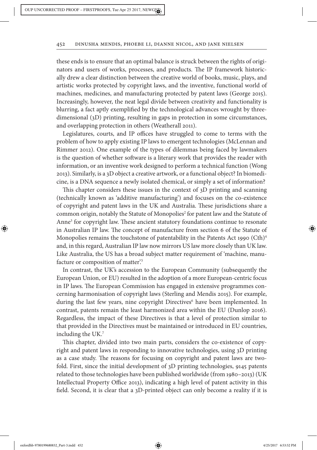these ends is to ensure that an optimal balance is struck between the rights of originators and users of works, processes, and products. The IP framework historically drew a clear distinction between the creative world of books, music, plays, and artistic works protected by copyright laws, and the inventive, functional world of machines, medicines, and manufacturing protected by patent laws (George 2015). Increasingly, however, the neat legal divide between creativity and functionality is blurring, a fact aptly exemplifed by the technological advances wrought by threedimensional (3D) printing, resulting in gaps in protection in some circumstances, and overlapping protection in others (Weatherall 2011).

Legislatures, courts, and IP offices have struggled to come to terms with the problem of how to apply existing IP laws to emergent technologies (McLennan and Rimmer 2012). One example of the types of dilemmas being faced by lawmakers is the question of whether sofware is a literary work that provides the reader with information, or an inventive work designed to perform a technical function (Wong 2013). Similarly, is a 3D object a creative artwork, or a functional object? In biomedicine, is a DNA sequence a newly isolated chemical, or simply a set of information?

This chapter considers these issues in the context of 3D printing and scanning (technically known as 'additive manufacturing') and focuses on the co-existence of copyright and patent laws in the UK and Australia. These jurisdictions share a common origin, notably the Statute of Monopolies<sup>2</sup> for patent law and the Statute of Anne<sup>3</sup> for copyright law. These ancient statutory foundations continue to resonate in Australian IP law. The concept of manufacture from section 6 of the Statute of Monopolies remains the touchstone of patentability in the Patents Act 1990 (Cth)<sup>4</sup> and, in this regard, Australian IP law now mirrors US law more closely than UK law. Like Australia, the US has a broad subject matter requirement of 'machine, manufacture or composition of matter'.<sup>5</sup>

In contrast, the UK's accession to the European Community (subsequently the European Union, or EU) resulted in the adoption of a more European-centric focus in IP laws. The European Commission has engaged in extensive programmes concerning harmonisation of copyright laws (Sterling and Mendis 2015). For example, during the last few years, nine copyright Directives<sup>6</sup> have been implemented. In contrast, patents remain the least harmonized area within the EU (Dunlop 2016). Regardless, the impact of these Directives is that a level of protection similar to that provided in the Directives must be maintained or introduced in EU countries, including the UK.<sup>7</sup>

This chapter, divided into two main parts, considers the co-existence of copyright and patent laws in responding to innovative technologies, using 3D printing as a case study. The reasons for focusing on copyright and patent laws are twofold. First, since the initial development of 3D printing technologies, 9145 patents related to those technologies have been published worldwide (from 1980–2013) (UK Intellectual Property Office 2013), indicating a high level of patent activity in this feld. Second, it is clear that a 3D-printed object can only become a reality if it is

oxfordhb-9780199680832\_Part-3.indd 452 4/25/2017 6:53:52 PM

⊕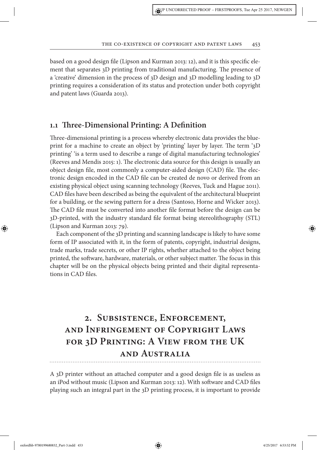based on a good design fle (Lipson and Kurman 2013: 12), and it is this specifc element that separates 3D printing from traditional manufacturing. The presence of a 'creative' dimension in the process of 3D design and 3D modelling leading to 3D printing requires a consideration of its status and protection under both copyright and patent laws (Guarda 2013).

### **1.1 Tree-Dimensional Printing: A Defnition**

Tree-dimensional printing is a process whereby electronic data provides the blueprint for a machine to create an object by 'printing' layer by layer. The term '3D printing' 'is a term used to describe a range of digital manufacturing technologies' (Reeves and Mendis 2015: 1). The electronic data source for this design is usually an object design file, most commonly a computer-aided design (CAD) file. The electronic design encoded in the CAD fle can be created de novo or derived from an existing physical object using scanning technology (Reeves, Tuck and Hague 2011). CAD fles have been described as being the equivalent of the architectural blueprint for a building, or the sewing pattern for a dress (Santoso, Horne and Wicker 2013). The CAD file must be converted into another file format before the design can be 3D-printed, with the industry standard fle format being stereolithography (STL) (Lipson and Kurman 2013: 79).

Each component of the 3D printing and scanning landscape is likely to have some form of IP associated with it, in the form of patents, copyright, industrial designs, trade marks, trade secrets, or other IP rights, whether attached to the object being printed, the software, hardware, materials, or other subject matter. The focus in this chapter will be on the physical objects being printed and their digital representations in CAD fles.

# **2. Subsistence, Enforcement, and Infringement of Copyright Laws for 3D Printing: A View from the UK and Australia**

A 3D printer without an attached computer and a good design fle is as useless as an iPod without music (Lipson and Kurman 2013: 12). With sofware and CAD fles playing such an integral part in the 3D printing process, it is important to provide

oxfordhb-9780199680832\_Part-3.indd 453 4/25/2017 6:53:52 PM

⊕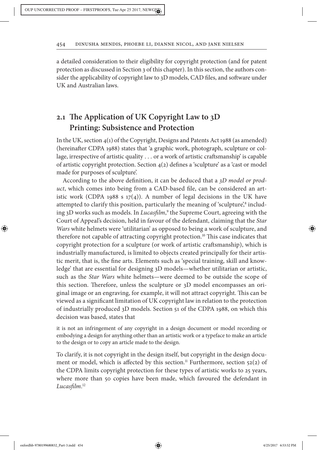a detailed consideration to their eligibility for copyright protection (and for patent protection as discussed in Section 3 of this chapter). In this section, the authors consider the applicability of copyright law to 3D models, CAD fles, and sofware under UK and Australian laws.

### **2.1 Te Application of UK Copyright Law to 3D Printing: Subsistence and Protection**

In the UK, section 4(1) of the Copyright, Designs and Patents Act 1988 (as amended) (hereinafer CDPA 1988) states that 'a graphic work, photograph, sculpture or collage, irrespective of artistic quality … or a work of artistic crafsmanship' is capable of artistic copyright protection. Section 4(2) defnes a 'sculpture' as a 'cast or model made for purposes of sculpture'.

According to the above defnition, it can be deduced that a 3*D model or product*, which comes into being from a CAD-based fle, can be considered an artistic work (CDPA 1988 s 17(4)). A number of legal decisions in the UK have attempted to clarify this position, particularly the meaning of 'sculpture',<sup>8</sup> including 3D works such as models. In *Lucas*f*lm*, 9 the Supreme Court, agreeing with the Court of Appeal's decision, held in favour of the defendant, claiming that the *Star Wars* white helmets were 'utilitarian' as opposed to being a work of sculpture, and therefore not capable of attracting copyright protection.<sup>10</sup> This case indicates that copyright protection for a sculpture (or work of artistic crafsmanship), which is industrially manufactured, is limited to objects created principally for their artistic merit, that is, the fne arts. Elements such as 'special training, skill and knowledge' that are essential for designing 3D models—whether utilitarian or artistic, such as the *Star Wars* white helmets—were deemed to be outside the scope of this section. Therefore, unless the sculpture or 3D model encompasses an original image or an engraving, for example, it will not attract copyright. Tis can be viewed as a signifcant limitation of UK copyright law in relation to the protection of industrially produced 3D models. Section 51 of the CDPA 1988, on which this decision was based, states that

it is not an infringement of any copyright in a design document or model recording or embodying a design for anything other than an artistic work or a typeface to make an article to the design or to copy an article made to the design.

To clarify, it is not copyright in the design itself, but copyright in the design document or model, which is affected by this section.<sup>11</sup> Furthermore, section 52(2) of the CDPA limits copyright protection for these types of artistic works to 25 years, where more than 50 copies have been made, which favoured the defendant in *Lucas*f*lm*. 12

oxfordhb-9780199680832\_Part-3.indd 454 4/25/2017 6:53:52 PM

⊕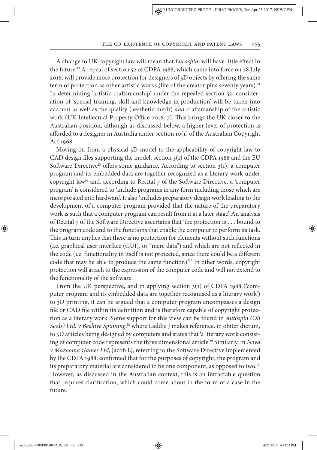A change to UK copyright law will mean that *Lucas*f*lm* will have little efect in the future.<sup>13</sup> A repeal of section 52 of CDPA 1988, which came into force on 28 July 2016, will provide more protection for designers of 3D objects by ofering the same term of protection as other artistic works (life of the creator plus seventy years).<sup>14</sup> In determining 'artistic crafsmanship' under the repealed section 52, consideration of 'special training, skill and knowledge in production' will be taken into account as well as the quality (aesthetic merit) *and* crafsmanship of the artistic work (UK Intellectual Property Office 2016: 7). This brings the UK closer to the Australian position, although as discussed below, a higher level of protection is aforded to a designer in Australia under section 10(1) of the Australian Copyright Act 1968.

Moving on from a physical 3D model to the applicability of copyright law to CAD design files supporting the model, section  $3(1)$  of the CDPA 1988 and the EU Software Directive<sup>15</sup> offers some guidance. According to section  $3(1)$ , a computer program and its embedded data are together recognized as a literary work under copyright law<sup>16</sup> and, according to Recital  $7$  of the Software Directive, a 'computer program' is considered to 'include programs in any form including those which are incorporated into hardware'. It also 'includes preparatory design work leading to the development of a computer program provided that the nature of the preparatory work is such that a computer program can result from it at a later stage'. An analysis of Recital 7 of the Sofware Directive ascertains that 'the protection is … bound to the program code and to the functions that enable the computer to perform its task. This in turn implies that there is no protection for elements without such functions (i.e. graphical user interface (GUI), or "mere data") and which are not refected in the code (i.e. functionality in itself is not protected, since there could be a diferent code that may be able to produce the same function).<sup>'17</sup> In other words, copyright protection will attach to the expression of the computer code and will not extend to the functionality of the sofware.

From the UK perspective, and in applying section 3(1) of CDPA 1988 ('computer program and its embedded data are together recognised as a literary work') to 3D printing, it can be argued that a computer program encompasses a design fle or CAD fle within its defnition and is therefore capable of copyright protection as a literary work. Some support for this view can be found in *Autospin (Oil Seals) Ltd. v Beehive Spinning*, <sup>18</sup> where Laddie J makes reference, in obiter dictum, to 3D articles being designed by computers and states that 'a literary work consisting of computer code represents the three dimensional article'.<sup>19</sup> Similarly, in *Nova v Mazooma Games Ltd*, Jacob LJ, referring to the Sofware Directive implemented by the CDPA 1988, confrmed that for the purposes of copyright, the program and its preparatory material are considered to be one component, as opposed to two.<sup>20</sup> However, as discussed in the Australian context, this is an intractable question that requires clarifcation, which could come about in the form of a case in the future.

oxfordhb-9780199680832\_Part-3.indd 455 4/25/2017 6:53:52 PM

⊕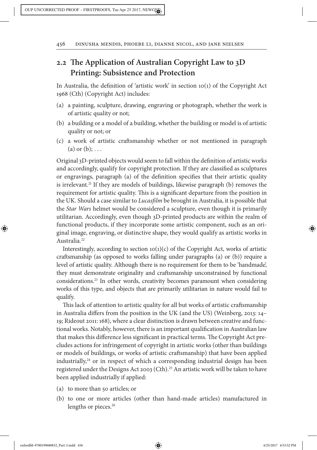### **2.2 Te Application of Australian Copyright Law to 3D Printing: Subsistence and Protection**

In Australia, the defnition of 'artistic work' in section 10(1) of the Copyright Act 1968 (Cth) (Copyright Act) includes:

- (a) a painting, sculpture, drawing, engraving or photograph, whether the work is of artistic quality or not;
- (b) a building or a model of a building, whether the building or model is of artistic quality or not; or
- (c) a work of artistic crafsmanship whether or not mentioned in paragraph (a) or  $(b)$ ; ...

Original 3D-printed objects would seem to fall within the defnition of artistic works and accordingly, qualify for copyright protection. If they are classifed as sculptures or engravings, paragraph (a) of the defnition specifes that their artistic quality is irrelevant.<sup>21</sup> If they are models of buildings, likewise paragraph (b) removes the requirement for artistic quality. This is a significant departure from the position in the UK. Should a case similar to *Lucas*f*lm* be brought in Australia, it is possible that the *Star Wars* helmet would be considered a sculpture, even though it is primarily utilitarian. Accordingly, even though 3D-printed products are within the realm of functional products, if they incorporate some artistic component, such as an original image, engraving, or distinctive shape, they would qualify as artistic works in Australia.<sup>22</sup>

Interestingly, according to section  $10(1)(c)$  of the Copyright Act, works of artistic crafsmanship (as opposed to works falling under paragraphs (a) or (b)) require a level of artistic quality. Although there is no requirement for them to be 'handmade', they must demonstrate originality and crafsmanship unconstrained by functional considerations.<sup>23</sup> In other words, creativity becomes paramount when considering works of this type, and objects that are primarily utilitarian in nature would fail to qualify.

Tis lack of attention to artistic quality for all but works of artistic crafsmanship in Australia difers from the position in the UK (and the US) (Weinberg, 2013: 14– 19; Rideout 2011: 168), where a clear distinction is drawn between creative and functional works. Notably, however, there is an important qualifcation in Australian law that makes this difference less significant in practical terms. The Copyright Act precludes actions for infringement of copyright in artistic works (other than buildings or models of buildings, or works of artistic crafsmanship) that have been applied industrially, $24$  or in respect of which a corresponding industrial design has been registered under the Designs Act 2003 (Cth).<sup>25</sup> An artistic work will be taken to have been applied industrially if applied:

- (a) to more than 50 articles; or
- (b) to one or more articles (other than hand-made articles) manufactured in lengths or pieces.<sup>26</sup>

⊕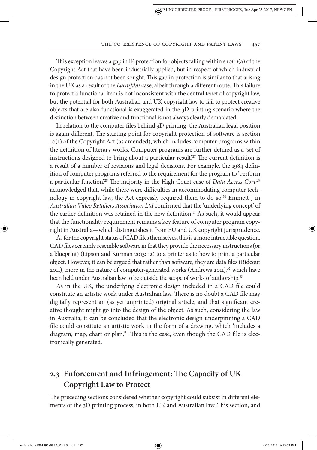This exception leaves a gap in IP protection for objects falling within  $s$  10(1)(a) of the Copyright Act that have been industrially applied, but in respect of which industrial design protection has not been sought. Tis gap in protection is similar to that arising in the UK as a result of the *Lucas*f*lm* case, albeit through a diferent route. Tis failure to protect a functional item is not inconsistent with the central tenet of copyright law, but the potential for both Australian and UK copyright law to fail to protect creative objects that are also functional is exaggerated in the 3D-printing scenario where the distinction between creative and functional is not always clearly demarcated.

In relation to the computer fles behind 3D printing, the Australian legal position is again different. The starting point for copyright protection of software is section 10(1) of the Copyright Act (as amended), which includes computer programs within the defnition of literary works. Computer programs are further defned as a 'set of instructions designed to bring about a particular result.<sup>27</sup> The current definition is a result of a number of revisions and legal decisions. For example, the 1984 defnition of computer programs referred to the requirement for the program to 'perform a particular function.<sup>28</sup> The majority in the High Court case of *Data Access Corp*<sup>29</sup> acknowledged that, while there were difficulties in accommodating computer technology in copyright law, the Act expressly required them to do so.<sup>30</sup> Emmett J in *Australian Video Retailers Association Ltd* confrmed that the 'underlying concept' of the earlier definition was retained in the new definition.<sup>31</sup> As such, it would appear that the functionality requirement remains a key feature of computer program copyright in Australia—which distinguishes it from EU and UK copyright jurisprudence.

As for the copyright status of CAD fles themselves, this is a more intractable question. CAD fles certainly resemble sofware in that they provide the necessary instructions (or a blueprint) (Lipson and Kurman 2013: 12) to a printer as to how to print a particular object. However, it can be argued that rather than sofware, they are data fles (Rideout 2011), more in the nature of computer-generated works (Andrews 2011), $32$  which have been held under Australian law to be outside the scope of works of authorship.<sup>33</sup>

As in the UK, the underlying electronic design included in a CAD fle could constitute an artistic work under Australian law. There is no doubt a CAD file may digitally represent an (as yet unprinted) original article, and that signifcant creative thought might go into the design of the object. As such, considering the law in Australia, it can be concluded that the electronic design underpinning a CAD fle could constitute an artistic work in the form of a drawing, which 'includes a diagram, map, chart or plan.<sup>34</sup> This is the case, even though the CAD file is electronically generated.

### **2.3 Enforcement and Infringement: Te Capacity of UK Copyright Law to Protect**

The preceding sections considered whether copyright could subsist in different elements of the 3D printing process, in both UK and Australian law. This section, and

⊕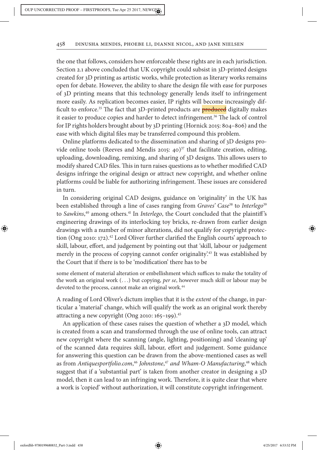the one that follows, considers how enforceable these rights are in each jurisdiction. Section 2.1 above concluded that UK copyright could subsist in 3D-printed designs created for 3D printing as artistic works, while protection as literary works remains open for debate. However, the ability to share the design fle with ease for purposes of 3D printing means that this technology generally lends itself to infringement more easily. As replication becomes easier, IP rights will become increasingly difficult to enforce.<sup>35</sup> The fact that 3D-printed products are **produced** digitally makes it easier to produce copies and harder to detect infringement.<sup>36</sup> The lack of control for IP rights holders brought about by 3D printing (Hornick 2015: 804–806) and the ease with which digital fles may be transferred compound this problem.

Online platforms dedicated to the dissemination and sharing of 3D designs provide online tools (Reeves and Mendis 2015:  $40^{37}$  that facilitate creation, editing, uploading, downloading, remixing, and sharing of 3D designs. Tis allows users to modify shared CAD files. This in turn raises questions as to whether modified CAD designs infringe the original design or attract new copyright, and whether online platforms could be liable for authorizing infringement. These issues are considered in turn.

In considering original CAD designs, guidance on 'originality' in the UK has been established through a line of cases ranging from *Graves' Case*<sup>38</sup> to *Interlego*<sup>39</sup> to *Sawkins*, <sup>40</sup> among others.<sup>41</sup> In *Interlego*, the Court concluded that the plaintif's engineering drawings of its interlocking toy bricks, re-drawn from earlier design drawings with a number of minor alterations, did not qualify for copyright protection (Ong 2010: 172).<sup>42</sup> Lord Oliver further clarified the English courts' approach to skill, labour, efort, and judgement by pointing out that 'skill, labour or judgement merely in the process of copying cannot confer originality.<sup>43</sup> It was established by the Court that if there is to be 'modifcation' there has to be

some element of material alteration or embellishment which suffices to make the totality of the work an original work (…) but copying, *per se*, however much skill or labour may be devoted to the process, cannot make an original work.<sup>44</sup>

A reading of Lord Oliver's dictum implies that it is the *extent* of the change, in particular a 'material' change, which will qualify the work as an original work thereby attracting a new copyright (Ong 2010: 165-199).<sup>45</sup>

An application of these cases raises the question of whether a 3D model, which is created from a scan and transformed through the use of online tools, can attract new copyright where the scanning (angle, lighting, positioning) and 'cleaning up' of the scanned data requires skill, labour, efort and judgement. Some guidance for answering this question can be drawn from the above-mentioned cases as well as from *Antiquesportfolio.com*, <sup>46</sup> *Johnstone*, <sup>47</sup> *and Wham-O Manufacturing*, <sup>48</sup> which suggest that if a 'substantial part' is taken from another creator in designing a 3D model, then it can lead to an infringing work. Therefore, it is quite clear that where a work is 'copied' without authorization, it will constitute copyright infringement.

⊕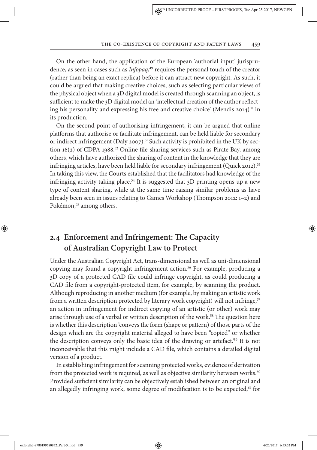On the other hand, the application of the European 'authorial input' jurisprudence, as seen in cases such as *Infopaq*, <sup>49</sup> requires the personal touch of the creator (rather than being an exact replica) before it can attract new copyright. As such, it could be argued that making creative choices, such as selecting particular views of the physical object when a 3D digital model is created through scanning an object, is sufficient to make the  $3D$  digital model an 'intellectual creation of the author reflecting his personality and expressing his free and creative choice' (Mendis  $2014$ )<sup>50</sup> in its production.

On the second point of authorising infringement, it can be argued that online platforms that authorise or facilitate infringement, can be held liable for secondary or indirect infringement (Daly 2007).<sup>51</sup> Such activity is prohibited in the UK by section 16(2) of CDPA 1988. <sup>52</sup> Online fle-sharing services such as Pirate Bay, among others, which have authorized the sharing of content in the knowledge that they are infringing articles, have been held liable for secondary infringement (Quick 2012).<sup>53</sup> In taking this view, the Courts established that the facilitators had knowledge of the infringing activity taking place.<sup>54</sup> It is suggested that  $3D$  printing opens up a new type of content sharing, while at the same time raising similar problems as have already been seen in issues relating to Games Workshop (Thompson 2012:  $1-2$ ) and Pokémon,<sup>55</sup> among others.

### **2.4 Enforcement and Infringement: Te Capacity of Australian Copyright Law to Protect**

Under the Australian Copyright Act, trans-dimensional as well as uni-dimensional copying may found a copyright infringement action.<sup>56</sup> For example, producing a 3D copy of a protected CAD fle could infringe copyright, as could producing a CAD fle from a copyright-protected item, for example, by scanning the product. Although reproducing in another medium (for example, by making an artistic work from a written description protected by literary work copyright) will not infringe,<sup>57</sup> an action in infringement for indirect copying of an artistic (or other) work may arise through use of a verbal or written description of the work.<sup>58</sup> The question here is whether this description 'conveys the form (shape or pattern) of those parts of the design which are the copyright material alleged to have been "copied" or whether the description conveys only the basic idea of the drawing or artefact.'<sup>59</sup> It is not inconceivable that this might include a CAD fle, which contains a detailed digital version of a product.

In establishing infringement for scanning protected works, evidence of derivation from the protected work is required, as well as objective similarity between works.<sup>60</sup> Provided sufficient similarity can be objectively established between an original and an allegedly infringing work, some degree of modification is to be expected,<sup>61</sup> for

⊕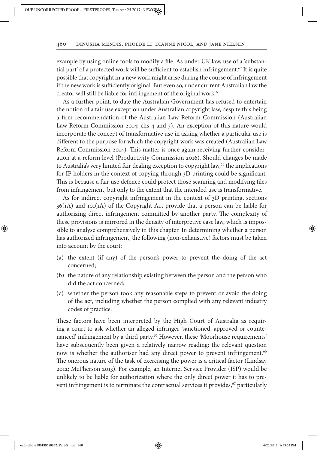example by using online tools to modify a fle. As under UK law, use of a 'substantial part' of a protected work will be sufficient to establish infringement.<sup>62</sup> It is quite possible that copyright in a new work might arise during the course of infringement if the new work is sufficiently original. But even so, under current Australian law the creator will still be liable for infringement of the original work.<sup>63</sup>

As a further point, to date the Australian Government has refused to entertain the notion of a fair use exception under Australian copyright law, despite this being a frm recommendation of the Australian Law Reform Commission (Australian Law Reform Commission 2014: chs 4 and 5). An exception of this nature would incorporate the concept of transformative use in asking whether a particular use is diferent to the purpose for which the copyright work was created (Australian Law Reform Commission 2014). This matter is once again receiving further consideration at a reform level (Productivity Commission 2016). Should changes be made to Australia's very limited fair dealing exception to copyright law,<sup>64</sup> the implications for IP holders in the context of copying through 3D printing could be signifcant. This is because a fair use defence could protect those scanning and modifying files from infringement, but only to the extent that the intended use is transformative.

As for indirect copyright infringement in the context of 3D printing, sections 36(1A) and 101(1A) of the Copyright Act provide that a person can be liable for authorizing direct infringement committed by another party. The complexity of these provisions is mirrored in the density of interpretive case law, which is impossible to analyse comprehensively in this chapter. In determining whether a person has authorized infringement, the following (non-exhaustive) factors must be taken into account by the court:

- (a) the extent (if any) of the person's power to prevent the doing of the act concerned;
- (b) the nature of any relationship existing between the person and the person who did the act concerned;
- (c) whether the person took any reasonable steps to prevent or avoid the doing of the act, including whether the person complied with any relevant industry codes of practice.

These factors have been interpreted by the High Court of Australia as requiring a court to ask whether an alleged infringer 'sanctioned, approved or countenanced' infringement by a third party.<sup>65</sup> However, these 'Moorhouse requirements' have subsequently been given a relatively narrow reading: the relevant question now is whether the authoriser had any direct power to prevent infringement.<sup>66</sup> The onerous nature of the task of exercising the power is a critical factor (Lindsay 2012; McPherson 2013). For example, an Internet Service Provider (ISP) would be unlikely to be liable for authorization where the only direct power it has to prevent infringement is to terminate the contractual services it provides, $67$  particularly

⊕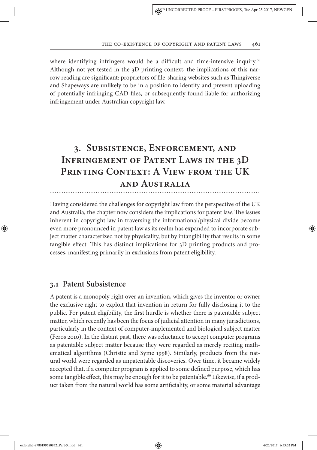### THE CO-EXISTENCE OF COPYRIGHT AND PATENT LAWS 461

where identifying infringers would be a difficult and time-intensive inquiry.<sup>68</sup> Although not yet tested in the 3D printing context, the implications of this narrow reading are signifcant: proprietors of fle-sharing websites such as Tingiverse and Shapeways are unlikely to be in a position to identify and prevent uploading of potentially infringing CAD fles, or subsequently found liable for authorizing infringement under Australian copyright law.

# **3. Subsistence, Enforcement, and Infringement of Patent Laws in the 3D Printing Context: A View from the UK and Australia**

Having considered the challenges for copyright law from the perspective of the UK and Australia, the chapter now considers the implications for patent law. The issues inherent in copyright law in traversing the informational/physical divide become even more pronounced in patent law as its realm has expanded to incorporate subject matter characterized not by physicality, but by intangibility that results in some tangible efect. Tis has distinct implications for 3D printing products and processes, manifesting primarily in exclusions from patent eligibility.

### **3.1 Patent Subsistence**

A patent is a monopoly right over an invention, which gives the inventor or owner the exclusive right to exploit that invention in return for fully disclosing it to the public. For patent eligibility, the frst hurdle is whether there is patentable subject matter, which recently has been the focus of judicial attention in many jurisdictions, particularly in the context of computer-implemented and biological subject matter (Feros 2010). In the distant past, there was reluctance to accept computer programs as patentable subject matter because they were regarded as merely reciting mathematical algorithms (Christie and Syme 1998). Similarly, products from the natural world were regarded as unpatentable discoveries. Over time, it became widely accepted that, if a computer program is applied to some defned purpose, which has some tangible effect, this may be enough for it to be patentable.<sup>69</sup> Likewise, if a product taken from the natural world has some artifciality, or some material advantage

⊕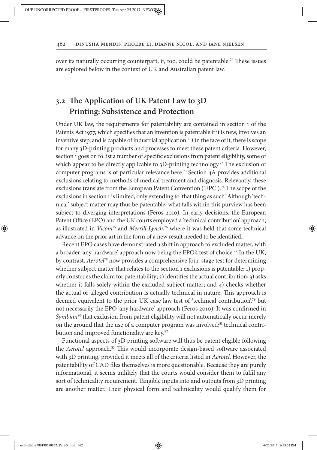over its naturally occurring counterpart, it, too, could be patentable.<sup>70</sup> These issues are explored below in the context of UK and Australian patent law.

### **3.2 Te Application of UK Patent Law to 3D Printing: Subsistence and Protection**

Under UK law, the requirements for patentability are contained in section 1 of the Patents Act 1977, which specifes that an invention is patentable if it is new, involves an inventive step, and is capable of industrial application.<sup>71</sup> On the face of it, there is scope for many 3D-printing products and processes to meet these patent criteria. However, section 1 goes on to list a number of specifc exclusions from patent eligibility, some of which appear to be directly applicable to  $3D$ -printing technology.<sup>72</sup> The exclusion of computer programs is of particular relevance here.<sup>73</sup> Section 4A provides additional exclusions relating to methods of medical treatment and diagnosis. Relevantly, these exclusions translate from the European Patent Convention ('EPC').<sup>74</sup> The scope of the exclusions in section 1 is limited, only extending to 'that thing as such'. Although 'technical' subject matter may thus be patentable, what falls within this purview has been subject to diverging interpretations (Feros 2010). In early decisions, the European Patent Office (EPO) and the UK courts employed a 'technical contribution' approach, as illustrated in *Vicom*<sup>75</sup> and *Merrill Lynch*, <sup>76</sup> where it was held that some technical advance on the prior art in the form of a new result needed to be identifed.

Recent EPO cases have demonstrated a shift in approach to excluded matter, with a broader 'any hardware' approach now being the EPO's test of choice.<sup>77</sup> In the UK, by contrast, *Aerotel*<sup>78</sup> now provides a comprehensive four-stage test for determining whether subject matter that relates to the section 1 exclusions is patentable: 1) properly construes the claim for patentability; 2) identifies the actual contribution; 3) asks whether it falls solely within the excluded subject matter; and  $\phi$  checks whether the actual or alleged contribution is actually technical in nature. This approach is deemed equivalent to the prior UK case law test of 'technical contribution',<sup>79</sup> but not necessarily the EPO 'any hardware' approach (Feros 2010). It was confrmed in *Symbian*<sup>80</sup> that exclusion from patent eligibility will not automatically occur merely on the ground that the use of a computer program was involved; ${}^{81}$  technical contribution and improved functionality are key.<sup>82</sup>

Functional aspects of 3D printing sofware will thus be patent eligible following the *Aerotel* approach.<sup>83</sup> This would incorporate design-based software associated with 3D printing, provided it meets all of the criteria listed in *Aerotel*. However, the patentability of CAD fles themselves is more questionable. Because they are purely informational, it seems unlikely that the courts would consider them to fulfl any sort of technicality requirement. Tangible inputs into and outputs from 3D printing are another matter. Their physical form and technicality would qualify them for

⊕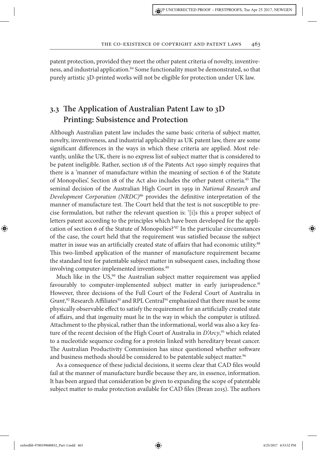patent protection, provided they meet the other patent criteria of novelty, inventiveness, and industrial application.<sup>84</sup> Some functionality must be demonstrated, so that purely artistic 3D-printed works will not be eligible for protection under UK law.

### **3.3 Te Application of Australian Patent Law to 3D Printing: Subsistence and Protection**

Although Australian patent law includes the same basic criteria of subject matter, novelty, inventiveness, and industrial applicability as UK patent law, there are some signifcant diferences in the ways in which these criteria are applied. Most relevantly, unlike the UK, there is no express list of subject matter that is considered to be patent ineligible. Rather, section 18 of the Patents Act 1990 simply requires that there is a 'manner of manufacture within the meaning of section 6 of the Statute of Monopolies'. Section 18 of the Act also includes the other patent criteria.<sup>85</sup> The seminal decision of the Australian High Court in 1959 in *National Research and Development Corporation (NRDC)*<sup>86</sup> provides the defnitive interpretation of the manner of manufacture test. The Court held that the test is not susceptible to precise formulation, but rather the relevant question is: '[i]s this a proper subject of letters patent according to the principles which have been developed for the application of section 6 of the Statute of Monopolies?'<sup>87</sup> In the particular circumstances of the case, the court held that the requirement was satisfed because the subject matter in issue was an artificially created state of affairs that had economic utility.<sup>88</sup> Tis two-limbed application of the manner of manufacture requirement became the standard test for patentable subject matter in subsequent cases, including those involving computer-implemented inventions.<sup>89</sup>

Much like in the  $US<sub>2</sub><sup>90</sup>$  the Australian subject matter requirement was applied favourably to computer-implemented subject matter in early jurisprudence.<sup>91</sup> However, three decisions of the Full Court of the Federal Court of Australia in Grant,<sup>92</sup> Research Affiliates<sup>93</sup> and RPL Central<sup>94</sup> emphasized that there must be some physically observable efect to satisfy the requirement for an artifcially created state of afairs, and that ingenuity must lie in the way in which the computer is utilized. Attachment to the physical, rather than the informational, world was also a key feature of the recent decision of the High Court of Australia in *D'Arcy*, <sup>95</sup> which related to a nucleotide sequence coding for a protein linked with hereditary breast cancer. The Australian Productivity Commission has since questioned whether software and business methods should be considered to be patentable subject matter.<sup>96</sup>

As a consequence of these judicial decisions, it seems clear that CAD fles would fail at the manner of manufacture hurdle because they are, in essence, information. It has been argued that consideration be given to expanding the scope of patentable subject matter to make protection available for CAD files (Brean 2015). The authors

oxfordhb-9780199680832\_Part-3.indd 463 4/25/2017 6:53:52 PM

⊕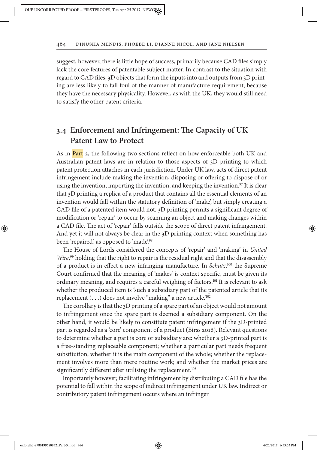suggest, however, there is little hope of success, primarily because CAD fles simply lack the core features of patentable subject matter. In contrast to the situation with regard to CAD fles, 3D objects that form the inputs into and outputs from 3D printing are less likely to fall foul of the manner of manufacture requirement, because they have the necessary physicality. However, as with the UK, they would still need to satisfy the other patent criteria.

### **3.4 Enforcement and Infringement: Te Capacity of UK Patent Law to Protect**

As in **Part** 2, the following two sections reflect on how enforceable both UK and Australian patent laws are in relation to those aspects of 3D printing to which patent protection attaches in each jurisdiction. Under UK law, acts of direct patent infringement include making the invention, disposing or ofering to dispose of or using the invention, importing the invention, and keeping the invention.<sup>97</sup> It is clear that 3D printing a replica of a product that contains all the essential elements of an invention would fall within the statutory defnition of 'make', but simply creating a CAD fle of a patented item would not. 3D printing permits a signifcant degree of modifcation or 'repair' to occur by scanning an object and making changes within a CAD file. The act of 'repair' falls outside the scope of direct patent infringement. And yet it will not always be clear in the 3D printing context when something has been 'repaired', as opposed to 'made'.<sup>98</sup>

The House of Lords considered the concepts of 'repair' and 'making' in *United Wire*, <sup>99</sup> holding that the right to repair is the residual right and that the disassembly of a product is in efect a new infringing manufacture. In *Schutz*, <sup>100</sup> the Supreme Court confrmed that the meaning of 'makes' is context specifc, must be given its ordinary meaning, and requires a careful weighing of factors.<sup>101</sup> It is relevant to ask whether the produced item is 'such a subsidiary part of the patented article that its replacement  $(...)$  does not involve "making" a new article.<sup>'102</sup>

The corollary is that the 3D printing of a spare part of an object would not amount to infringement once the spare part is deemed a subsidiary component. On the other hand, it would be likely to constitute patent infringement if the 3D-printed part is regarded as a 'core' component of a product (Birss 2016). Relevant questions to determine whether a part is core or subsidiary are: whether a 3D-printed part is a free-standing replaceable component; whether a particular part needs frequent substitution; whether it is the main component of the whole; whether the replacement involves more than mere routine work; and whether the market prices are significantly different after utilising the replacement.<sup>103</sup>

Importantly however, facilitating infringement by distributing a CAD fle has the potential to fall within the scope of indirect infringement under UK law. Indirect or contributory patent infringement occurs where an infringer

⊕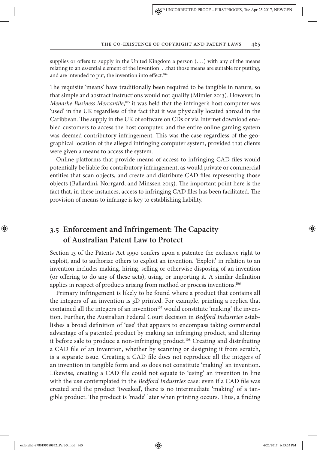supplies or offers to supply in the United Kingdom a person  $(\ldots)$  with any of the means relating to an essential element of the invention...that those means are suitable for putting, and are intended to put, the invention into effect.<sup>104</sup>

The requisite 'means' have traditionally been required to be tangible in nature, so that simple and abstract instructions would not qualify (Mimler 2013). However, in *Menashe Business Mercantile*, <sup>105</sup> it was held that the infringer's host computer was 'used' in the UK regardless of the fact that it was physically located abroad in the Caribbean. The supply in the UK of software on CDs or via Internet download enabled customers to access the host computer, and the entire online gaming system was deemed contributory infringement. This was the case regardless of the geographical location of the alleged infringing computer system, provided that clients were given a means to access the system.

Online platforms that provide means of access to infringing CAD fles would potentially be liable for contributory infringement, as would private or commercial entities that scan objects, and create and distribute CAD fles representing those objects (Ballardini, Norrgard, and Minssen 2015). The important point here is the fact that, in these instances, access to infringing CAD files has been facilitated. The provision of means to infringe is key to establishing liability.

### **3.5 Enforcement and Infringement: Te Capacity of Australian Patent Law to Protect**

Section 13 of the Patents Act 1990 confers upon a patentee the exclusive right to exploit, and to authorize others to exploit an invention. 'Exploit' in relation to an invention includes making, hiring, selling or otherwise disposing of an invention (or ofering to do any of these acts), using, or importing it. A similar defnition applies in respect of products arising from method or process inventions.<sup>106</sup>

Primary infringement is likely to be found where a product that contains all the integers of an invention is 3D printed. For example, printing a replica that contained all the integers of an invention<sup>107</sup> would constitute 'making' the invention. Further, the Australian Federal Court decision in *Bedford Industries* establishes a broad defnition of 'use' that appears to encompass taking commercial advantage of a patented product by making an infringing product, and altering it before sale to produce a non-infringing product.<sup>108</sup> Creating and distributing a CAD fle of an invention, whether by scanning or designing it from scratch, is a separate issue. Creating a CAD fle does not reproduce all the integers of an invention in tangible form and so does not constitute 'making' an invention. Likewise, creating a CAD fle could not equate to 'using' an invention in line with the use contemplated in the *Bedford Industries* case: even if a CAD fle was created and the product 'tweaked', there is no intermediate 'making' of a tangible product. The product is 'made' later when printing occurs. Thus, a finding

⊕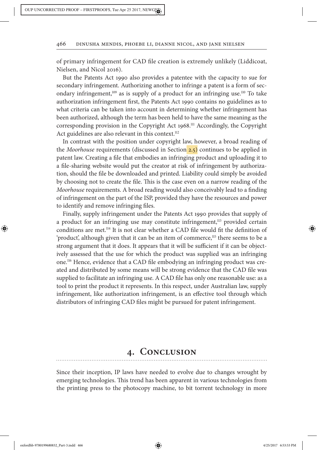of primary infringement for CAD fle creation is extremely unlikely (Liddicoat, Nielsen, and Nicol 2016).

But the Patents Act 1990 also provides a patentee with the capacity to sue for secondary infringement. Authorizing another to infringe a patent is a form of secondary infringement, $109$  as is supply of a product for an infringing use.<sup>110</sup> To take authorization infringement frst, the Patents Act 1990 contains no guidelines as to what criteria can be taken into account in determining whether infringement has been authorized, although the term has been held to have the same meaning as the corresponding provision in the Copyright Act 1968. <sup>111</sup> Accordingly, the Copyright Act guidelines are also relevant in this context.<sup>112</sup>

In contrast with the position under copyright law, however, a broad reading of the *Moorhouse* requirements (discussed in Section 2.5) continues to be applied in patent law. Creating a fle that embodies an infringing product and uploading it to a fle-sharing website would put the creator at risk of infringement by authorization, should the fle be downloaded and printed. Liability could simply be avoided by choosing not to create the fle. Tis is the case even on a narrow reading of the *Moorhouse* requirements. A broad reading would also conceivably lead to a fnding of infringement on the part of the ISP, provided they have the resources and power to identify and remove infringing fles.

Finally, supply infringement under the Patents Act 1990 provides that supply of a product for an infringing use may constitute infringement,<sup>113</sup> provided certain conditions are met.<sup>114</sup> It is not clear whether a CAD fle would ft the defnition of 'product', although given that it can be an item of commerce,<sup>115</sup> there seems to be a strong argument that it does. It appears that it will be sufficient if it can be objectively assessed that the use for which the product was supplied was an infringing one.116 Hence, evidence that a CAD fle embodying an infringing product was created and distributed by some means will be strong evidence that the CAD fle was supplied to facilitate an infringing use. A CAD fle has only one reasonable use: as a tool to print the product it represents. In this respect, under Australian law, supply infringement, like authorization infringement, is an efective tool through which distributors of infringing CAD fles might be pursued for patent infringement.

### **4. Conclusion**

Since their inception, IP laws have needed to evolve due to changes wrought by emerging technologies. This trend has been apparent in various technologies from the printing press to the photocopy machine, to bit torrent technology in more

oxfordhb-9780199680832\_Part-3.indd 466 4/25/2017 6:53:53 PM

⊕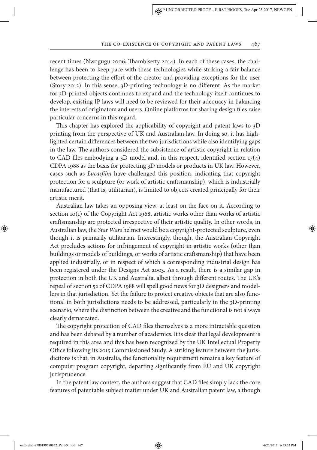#### THE CO-EXISTENCE OF COPYRIGHT AND PATENT LAWS 467

recent times (Nwogugu 2006; Tambisetty 2014). In each of these cases, the challenge has been to keep pace with these technologies while striking a fair balance between protecting the efort of the creator and providing exceptions for the user (Story 2012). In this sense, 3D-printing technology is no diferent. As the market for 3D-printed objects continues to expand and the technology itself continues to develop, existing IP laws will need to be reviewed for their adequacy in balancing the interests of originators and users. Online platforms for sharing design fles raise particular concerns in this regard.

This chapter has explored the applicability of copyright and patent laws to 3D printing from the perspective of UK and Australian law. In doing so, it has highlighted certain diferences between the two jurisdictions while also identifying gaps in the law. The authors considered the subsistence of artistic copyright in relation to CAD fles embodying a 3D model and, in this respect, identifed section 17(4) CDPA 1988 as the basis for protecting 3D models or products in UK law. However, cases such as *Lucas*f*lm* have challenged this position, indicating that copyright protection for a sculpture (or work of artistic crafsmanship), which is industrially manufactured (that is, utilitarian), is limited to objects created principally for their artistic merit.

Australian law takes an opposing view, at least on the face on it. According to section 10(1) of the Copyright Act 1968, artistic works other than works of artistic crafsmanship are protected irrespective of their artistic quality. In other words, in Australian law, the *Star Wars* helmet would be a copyright-protected sculpture, even though it is primarily utilitarian. Interestingly, though, the Australian Copyright Act precludes actions for infringement of copyright in artistic works (other than buildings or models of buildings, or works of artistic crafsmanship) that have been applied industrially, or in respect of which a corresponding industrial design has been registered under the Designs Act 2003. As a result, there is a similar gap in protection in both the UK and Australia, albeit through different routes. The UK's repeal of section 52 of CDPA 1988 will spell good news for 3D designers and modellers in that jurisdiction. Yet the failure to protect creative objects that are also functional in both jurisdictions needs to be addressed, particularly in the 3D-printing scenario, where the distinction between the creative and the functional is not always clearly demarcated.

The copyright protection of CAD files themselves is a more intractable question and has been debated by a number of academics. It is clear that legal development is required in this area and this has been recognized by the UK Intellectual Property Office following its 2015 Commissioned Study. A striking feature between the jurisdictions is that, in Australia, the functionality requirement remains a key feature of computer program copyright, departing signifcantly from EU and UK copyright jurisprudence.

In the patent law context, the authors suggest that CAD fles simply lack the core features of patentable subject matter under UK and Australian patent law, although

oxfordhb-9780199680832\_Part-3.indd 467 4/25/2017 6:53:53 PM

⊕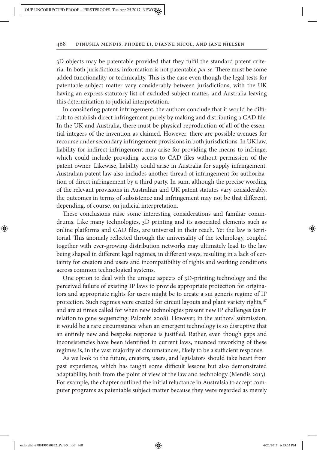3D objects may be patentable provided that they fulfl the standard patent criteria. In both jurisdictions, information is not patentable *per se*. There must be some added functionality or technicality. Tis is the case even though the legal tests for patentable subject matter vary considerably between jurisdictions, with the UK having an express statutory list of excluded subject matter, and Australia leaving this determination to judicial interpretation.

In considering patent infringement, the authors conclude that it would be difficult to establish direct infringement purely by making and distributing a CAD fle. In the UK and Australia, there must be physical reproduction of all of the essential integers of the invention as claimed. However, there are possible avenues for recourse under secondary infringement provisions in both jurisdictions. In UK law, liability for indirect infringement may arise for providing the means to infringe, which could include providing access to CAD fles without permission of the patent owner. Likewise, liability could arise in Australia for supply infringement. Australian patent law also includes another thread of infringement for authorization of direct infringement by a third party. In sum, although the precise wording of the relevant provisions in Australian and UK patent statutes vary considerably, the outcomes in terms of subsistence and infringement may not be that diferent, depending, of course, on judicial interpretation.

These conclusions raise some interesting considerations and familiar conundrums. Like many technologies, 3D printing and its associated elements such as online platforms and CAD fles, are universal in their reach. Yet the law is territorial. Tis anomaly refected through the universality of the technology, coupled together with ever-growing distribution networks may ultimately lead to the law being shaped in diferent legal regimes, in diferent ways, resulting in a lack of certainty for creators and users and incompatibility of rights and working conditions across common technological systems.

One option to deal with the unique aspects of 3D-printing technology and the perceived failure of existing IP laws to provide appropriate protection for originators and appropriate rights for users might be to create a sui generis regime of IP protection. Such regimes were created for circuit layouts and plant variety rights,<sup>117</sup> and are at times called for when new technologies present new IP challenges (as in relation to gene sequencing: Palombi 2008). However, in the authors' submission, it would be a rare circumstance when an emergent technology is so disruptive that an entirely new and bespoke response is justifed. Rather, even though gaps and inconsistencies have been identifed in current laws, nuanced reworking of these regimes is, in the vast majority of circumstances, likely to be a sufficient response.

As we look to the future, creators, users, and legislators should take heart from past experience, which has taught some difficult lessons but also demonstrated adaptability, both from the point of view of the law and technology (Mendis 2013). For example, the chapter outlined the initial reluctance in Australsia to accept computer programs as patentable subject matter because they were regarded as merely

⊕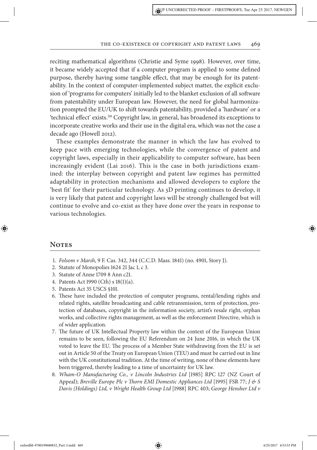#### THE CO-EXISTENCE OF COPYRIGHT AND PATENT LAWS 469

reciting mathematical algorithms (Christie and Syme 1998). However, over time, it became widely accepted that if a computer program is applied to some defned purpose, thereby having some tangible efect, that may be enough for its patentability. In the context of computer-implemented subject matter, the explicit exclusion of 'programs for computers' initially led to the blanket exclusion of all sofware from patentability under European law. However, the need for global harmonization prompted the EU/UK to shif towards patentability, provided a 'hardware' or a 'technical effect' exists.<sup>118</sup> Copyright law, in general, has broadened its exceptions to incorporate creative works and their use in the digital era, which was not the case a decade ago (Howell 2012).

These examples demonstrate the manner in which the law has evolved to keep pace with emerging technologies, while the convergence of patent and copyright laws, especially in their applicability to computer software, has been increasingly evident (Lai 2016). This is the case in both jurisdictions examined: the interplay between copyright and patent law regimes has permitted adaptability in protection mechanisms and allowed developers to explore the 'best fit' for their particular technology. As 3D printing continues to develop, it is very likely that patent and copyright laws will be strongly challenged but will continue to evolve and co-exist as they have done over the years in response to various technologies.

### **Notes**

⊕

- 1. *Folsom v Marsh*, 9 F. Cas. 342, 344 (C.C.D. Mass. 1841) (no. 4901, Story J).
- 2. Statute of Monopolies 1624 21 Jac 1, c 3.
- 3. Statute of Anne 1709 8 Ann c21.
- 4. Patents Act 1990 (Cth) s 18(1)(a).
- 5. Patents Act 35 USCS §101.
- 6. Tese have included the protection of computer programs, rental/lending rights and related rights, satellite broadcasting and cable retransmission, term of protection, protection of databases, copyright in the information society, artist's resale right, orphan works, and collective rights management, as well as the enforcement Directive, which is of wider application.
- 7. The future of UK Intellectual Property law within the context of the European Union remains to be seen, following the EU Referendum on 24 June 2016, in which the UK voted to leave the EU. The process of a Member State withdrawing from the EU is set out in Article 50 of the Treaty on European Union (TEU) and must be carried out in line with the UK constitutional tradition. At the time of writing, none of these elements have been triggered, thereby leading to a time of uncertainty for UK law.
- 8. *Wham-O Manufacturing Co., v Lincoln Industries Ltd* [1985] RPC 127 (NZ Court of Appeal); *Breville Europe Plc v* T*orn EMI Domestic Appliances Ltd* [1995] FSR 77; *J & S Davis (Holdings) Ltd, v Wright Health Group Ltd* [1988] RPC 403; *George Hensher Ltd v*

oxfordhb-9780199680832\_Part-3.indd 469 4/25/2017 6:53:53 PM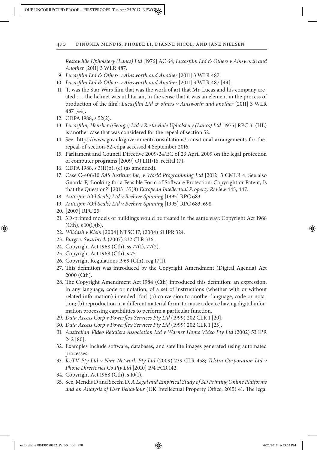*Restawhile Upholstery (Lancs) Ltd* [1976] AC 64; *Lucas*f*lm Ltd & Others v Ainsworth and Another* [2011] 3 WLR 487.

- 9. *Lucas*f*lm Ltd & Others v Ainsworth and Another* [2011] 3 WLR 487.
- 10. *Lucas*f*lm Ltd & Others v Ainsworth and Another* [2011] 3 WLR 487 [44].
- 11. 'It was the Star Wars flm that was the work of art that Mr. Lucas and his company created … the helmet was utilitarian, in the sense that it was an element in the process of production of the flm': *Lucas*f*lm Ltd & others v Ainsworth and another* [2011] 3 WLR 487 [44].
- 12. CDPA 1988, s 52(2).
- 13. *Lucas*f*lm, Hensher (George) Ltd v Restawhile Upholstery (Lancs) Ltd* [1975] RPC 31 (HL) is another case that was considered for the repeal of section 52.
- 14. See https://www.gov.uk/government/consultations/transitional-arrangements-for-therepeal-of-section-52-cdpa accessed 4 September 2016.
- 15. Parliament and Council Directive 2009/24/EC of 23 April 2009 on the legal protection of computer programs [2009] OJ L111/16, recital (7).
- 16. CDPA 1988, s 3(1)(b), (c) (as amended).
- 17. Case C-406/10 *SAS Institute Inc, v World Programming Ltd* [2012] 3 CMLR 4. See also Guarda P, 'Looking for a Feasible Form of Sofware Protection: Copyright or Patent, Is that the Question?' [2013] 35(8) *European Intellectual Property Review* 445, 447.
- 18. *Autospin (Oil Seals) Ltd v Beehive Spinning* [1995] RPC 683.
- 19. *Autospin (Oil Seals) Ltd v Beehive Spinning* [1995] RPC 683, 698.
- 20. [2007] RPC 25.

⊕

- 21. 3D-printed models of buildings would be treated in the same way: Copyright Act 1968  $(Cth)$ , s  $10(1)(b)$ .
- 22. *Wildash v Klein* [2004] NTSC 17; (2004) 61 IPR 324.
- 23. *Burge v Swarbrick* (2007) 232 CLR 336.
- 24. Copyright Act 1968 (Cth), ss 77(1), 77(2).
- 25. Copyright Act 1968 (Cth), s 75.
- 26. Copyright Regulations 1969 (Cth), reg 17(1).
- 27. Tis defnition was introduced by the Copyright Amendment (Digital Agenda) Act 2000 (Cth).
- 28. The Copyright Amendment Act 1984 (Cth) introduced this definition: an expression, in any language, code or notation, of a set of instructions (whether with or without related information) intended [for] (a) conversion to another language, code or notation; (b) reproduction in a diferent material form, to cause a device having digital information processing capabilities to perform a particular function.
- 29. *Data Access Corp v Power*f*ex Services Pty Ltd* (1999) 202 CLR 1 [20].
- 30. *Data Access Corp v Power*f*ex Services Pty Ltd* (1999) 202 CLR 1 [25].
- 31. *Australian Video Retailers Association Ltd v Warner Home Video Pty Ltd* (2002) 53 IPR 242 [80].
- 32. Examples include sofware, databases, and satellite images generated using automated processes.
- 33. *IceTV Pty Ltd v Nine Network Pty Ltd* (2009) 239 CLR 458*; Telstra Corporation Ltd v Phone Directories Co Pty Ltd* [2010] 194 FCR 142.
- 34. Copyright Act 1968 (Cth), s 10(1).
- 35. See, Mendis D and Secchi D, *A Legal and Empirical Study of* 3*D Printing Online Platforms and an Analysis of User Behaviour* (UK Intellectual Property Office, 2015) 41. The legal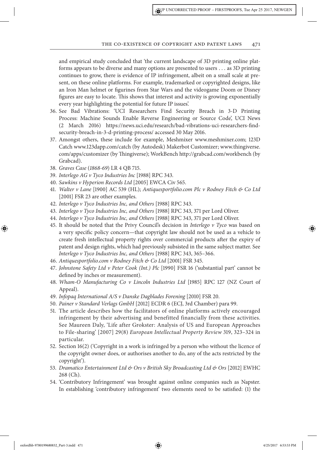and empirical study concluded that 'the current landscape of 3D printing online platforms appears to be diverse and many options are presented to users … as 3D printing continues to grow, there is evidence of IP infringement, albeit on a small scale at present, on these online platforms. For example, trademarked or copyrighted designs, like an Iron Man helmet or fgurines from Star Wars and the videogame Doom or Disney fgures are easy to locate. Tis shows that interest and activity is growing exponentially every year highlighting the potential for future IP issues'.

- 36. See Bad Vibrations: 'UCI Researchers Find Security Breach in 3-D Printing Process: Machine Sounds Enable Reverse Engineering or Source Code', UCI News (2 March 2016) https://news.uci.edu/research/bad-vibrations-uci-researchers-fndsecurity-breach-in-3-d-printing-process/ accessed 30 May 2016.
- 37. Amongst others, these include for example, Meshmixer www.meshmixer.com; 123D Catch www.123dapp.com/catch (by Autodesk) Makerbot Customizer; www.thingiverse. com/apps/customizer (by Tingiverse); WorkBench http://grabcad.com/workbench (by Grabcad).
- 38. *Graves Case* (1868*-*69) LR 4 QB 715.
- 39. *Interlego AG v Tyco Industries Inc* [1988] RPC 343.
- 40. *Sawkins v Hyperion Records Ltd* [2005] EWCA Civ 565.
- 41. *Walter v Lane* [1900] AC 539 (HL); *Antiquesportfolio.com Plc v Rodney Fitch & Co Ltd* [2001] FSR 23 are other examples.
- 42. *Interlego v Tyco Industries Inc, and Others* [1988] RPC 343.
- 43. *Interlego v Tyco Industries Inc, and Others* [1988] RPC 343, 371 per Lord Oliver.
- 44. *Interlego v Tyco Industries Inc, and Others* [1988] RPC 343, 371 per Lord Oliver.
- 45. It should be noted that the Privy Council's decision in *Interlego v Tyco* was based on a very specifc policy concern—that copyright law should not be used as a vehicle to create fresh intellectual property rights over commercial products afer the expiry of patent and design rights, which had previously subsisted in the same subject matter. See *Interlego v Tyco Industries Inc, and Others* [1988] RPC 343, 365–366.
- 46. *Antiquesportfolio.com v Rodney Fitch & Co Ltd* [2001] FSR 345.
- 47. *Johnstone Safety Ltd v Peter Cook (Int.) Plc* [1990] FSR 16 ('substantial part' cannot be defned by inches or measurement).
- 48. *Wham-O Manufacturing Co v Lincoln Industries Ltd* [1985] RPC 127 (NZ Court of Appeal).
- 49. *Infopaq International A/S v Danske Dagblades Forening* [2010] FSR 20.
- 50. *Painer v Standard Verlags GmbH* [2012] ECDR 6 (ECJ, 3rd Chamber) para 99.
- 51. The article describes how the facilitators of online platforms actively encouraged infringement by their advertising and benefitted financially from these activities. See Maureen Daly, 'Life after Grokster: Analysis of US and European Approaches to File-sharing' [2007] 29(8) *European Intellectual Property Review* 319, 323–324 in particular.
- 52. Section 16(2) ('Copyright in a work is infringed by a person who without the licence of the copyright owner does, or authorises another to do, any of the acts restricted by the copyright').
- 53. *Dramatico Entertainment Ltd & Ors v British Sky Broadcasting Ltd & Ors* [2012] EWHC 268 (Ch).
- 54. 'Contributory Infringement' was brought against online companies such as Napster. In establishing 'contributory infringement' two elements need to be satisfed: (1) the

oxfordhb-9780199680832\_Part-3.indd 471 4/25/2017 6:53:53 PM

⊕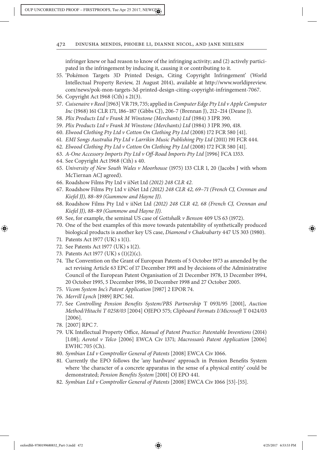infringer knew or had reason to know of the infringing activity; and (2) actively participated in the infringement by inducing it, causing it or contributing to it.

- 55. 'Pokémon Targets 3D Printed Design, Citing Copyright Infringement' (World Intellectual Property Review, 21 August 2014), available at http://www.worldipreview. com/news/pok-mon-targets-3d-printed-design-citing-copyright-infringement-7067.
- 56. Copyright Act 1968 (Cth) s 21(3).
- 57. *Cuisenaire v Reed* [1963] VR 719, 735; applied in *Computer Edge Pty Ltd v Apple Computer Inc* (1968) 161 CLR 171, 186–187 (Gibbs CJ), 206-7 (Brennan J), 212–214 (Deane J).
- 58. *Plix Products Ltd v Frank M Winstone (Merchants) Ltd* (1984) 3 IPR 390.
- 59. *Plix Products Ltd v Frank M Winstone (Merchants) Ltd* (1984) 3 IPR 390, 418.
- 60. *Elwood Clothing Pty Ltd v Cotton On Clothing Pty Ltd* (2008) 172 FCR 580 [41].
- 61. *EMI Songs Australia Pty Ltd v Larrikin Music Publishing Pty Ltd* (2011) 191 FCR 444.
- 62. *Elwood Clothing Pty Ltd v Cotton On Clothing Pty Ltd* (2008) 172 FCR 580 [41].
- 63. *A-One Accessory Imports Pty Ltd v O*f*-Road Imports Pty Ltd* [1996] FCA 1353.
- 64. See Copyright Act 1968 (Cth) s 40.
- 65. *University of New South Wales v Moorhouse* (1975) 133 CLR 1, 20 (Jacobs J with whom McTiernan ACJ agreed).
- 66. Roadshow Films Pty Ltd v iiNet Ltd *(*2012*)* 248 *CLR* 42.
- 67. Roadshow Films Pty Ltd v iiNet Ltd *(*2012*)* 248 *CLR* 42*,* 69–71 *(French CJ, Crennan and Kiefel JJ),* 88–89 *(Gummow and Hayne JJ).*
- 68. Roadshow Films Pty Ltd v iiNet Ltd *(*2012*)* 248 *CLR* 42*,* 68 *(French CJ, Crennan and Kiefel JJ),* 88–89 *(Gummow and Hayne JJ).*
- 69. See, for example, the seminal US case of *Gottshalk v Benson* 409 US 63 (1972).
- 70. One of the best examples of this move towards patentability of synthetically produced biological products is another key US case, *Diamond v Chakrabarty* 447 US 303 (1980).
- 71. Patents Act 1977 (UK) s 1(1).
- 72. See Patents Act 1977 (UK) s 1(2).
- 73. Patents Act 1977 (UK) s (1)(2)(c).
- 74. The Convention on the Grant of European Patents of 5 October 1973 as amended by the act revising Article 63 EPC of 17 December 1991 and by decisions of the Administrative Council of the European Patent Organisation of 21 December 1978, 13 December 1994, 20 October 1995, 5 December 1996, 10 December 1998 and 27 October 2005.
- 75. *Vicom System Inc's Patent Application* [1987] 2 EPOR 74.
- 76. *Merrill Lynch* [1989] RPC 561.
- 77. See *Controlling Pension Bene*f*ts System/PBS Partnership* T 0931/95 [2001], *Auction Method/Hitachi T* 0258*/*03 [2004] OJEPO 575; *Clipboard Formats I/Microso*f T 0424/03 [2006].
- 78. [2007] RPC 7.
- 79. UK Intellectual Property Office, *Manual of Patent Practice: Patentable Inventions* (2014) [1.08]; *Aerotel v Telco* [2006] EWCA Civ 1371; *Macrossan's Patent Application* [2006] EWHC 705 (Ch).
- 80. *Symbian Ltd v Comptroller General of Patents* [2008] EWCA Civ 1066.
- 81. Currently the EPO follows the 'any hardware' approach in Pension Benefts System where 'the character of a concrete apparatus in the sense of a physical entity' could be demonstrated; *Pension Bene*f*ts System* [2001] OJ EPO 441.
- 82. *Symbian Ltd v Comptroller General of Patents* [2008] EWCA Civ 1066 [53]-[55].

⊕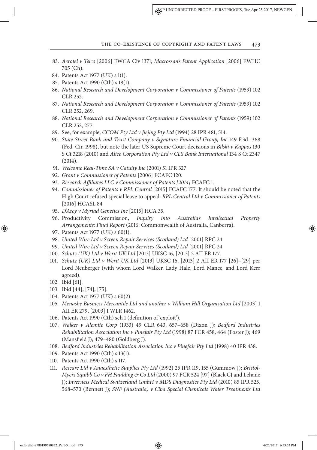- 83. *Aerotel v Telco* [2006] EWCA Civ 1371; *Macrossan's Patent Application* [2006] EWHC 705 (Ch).
- 84. Patents Act 1977 (UK) s 1(1).
- 85. Patents Act 1990 (Cth) s 18(1).
- 86. *National Research and Development Corporation v Commissioner of Patents* (1959) 102 CLR 252.
- 87. *National Research and Development Corporation v Commissioner of Patents* (1959) 102 CLR 252, 269.
- 88. *National Research and Development Corporation v Commissioner of Patents* (1959) 102 CLR 252, 277.
- 89. See, for example, *CCOM Pty Ltd v Jiejing Pty Ltd* (1994) 28 IPR 481, 514.
- 90. *State Street Bank and Trust Company v Signature Financial Group, Inc* 149 F.3d 1368 (Fed. Cir. 1998), but note the later US Supreme Court decisions in *Bilski v Kappos* 130 S Ct 3218 (2010) and *Alice Corporation Pty Ltd v CLS Bank International* 134 S Ct 2347 (2014).
- 91. *Welcome Real-Time SA v Catuity Inc* (2001) 51 IPR 327.
- 92. *Grant v Commissioner of Patents* [2006] FCAFC 120.
- 93. *Research A*f*liates LLC v Commissioner of Patents [*2014*]* FCAFC 1.
- 94. *Commissioner of Patents v RPL Central* [2015] FCAFC 177. It should be noted that the High Court refused special leave to appeal: *RPL Central Ltd v Commissioner of Patents* [2016] HCASL 84
- 95. *D'Arcy v Myriad Genetics Inc* [2015] HCA 35.
- 96. Productivity Commission, *Inquiry into Australia's Intellectual Property Arrangements: Final Report* (2016: Commonwealth of Australia, Canberra).
- 97. Patents Act 1977 (UK) s 60(1).
- 98. *United Wire Ltd v Screen Repair Services (Scotland) Ltd* [2001] RPC 24.
- 99. *United Wire Ltd v Screen Repair Services (Scotland) Ltd* [2001] RPC 24.
- 100. *Schutz (UK) Ltd v Werit UK Ltd* [2013] UKSC 16, [2013] 2 AII ER 177.
- 101. *Schutz (UK) Ltd v Werit UK Ltd* [2013] UKSC 16, [2013] 2 AII ER 177 [26]–[29] per Lord Neuberger (with whom Lord Walker, Lady Hale, Lord Mance, and Lord Kerr agreed).
- 102. Ibid [61].

⊕

- 103. Ibid [44], [74], [75].
- 104. Patents Act 1977 (UK) s 60(2).
- 105. *Menashe Business Mercantile Ltd and another v William Hill Organisation Ltd* [2003] 1 AII ER 279, [2003] 1 WLR 1462.
- 106. Patents Act 1990 (Cth) sch 1 (defnition of 'exploit').
- 107. *Walker v Alemite Corp* (1933) 49 CLR 643, 657–658 (Dixon J); *Bedford Industries Rehabilitation Association Inc v Pinefair Pty Ltd* (1998) 87 FCR 458, 464 (Foster J); 469 (Mansfeld J); 479–480 (Goldberg J).
- 108. *Bedford Industries Rehabilitation Association Inc v Pinefair Pty Ltd* (1998) 40 IPR 438.
- 109. Patents Act 1990 (Cth) s 13(1).
- 110. Patents Act 1990 (Cth) s 117.
- 111. *Rescare Ltd v Anaesthetic Supplies Pty Ltd* (1992) 25 IPR 119, 155 (Gummow J); *Bristol-Myers Squibb Co v FH Faulding & Co Ltd* (2000) 97 FCR 524 [97] (Black CJ and Lehane J); *Inverness Medical Switzerland GmbH v MDS Diagnostics Pty Ltd* (2010) 85 IPR 525, 568–570 (Bennett J); *SNF (Australia) v Ciba Special Chemicals Water Treatments Ltd*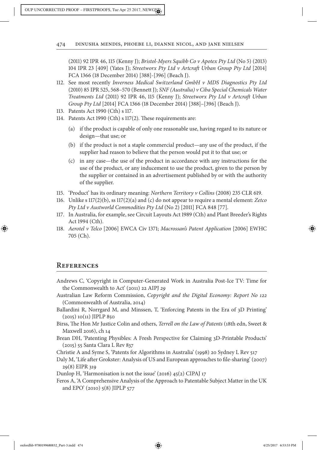(2011) 92 IPR 46, 115 (Kenny J); *Bristol-Myers Squibb Co v Apotex Pty Ltd* (No 5) (2013) 104 IPR 23 [409] (Yates J); *Streetworx Pty Ltd v Artcra*f *Urban Group Pty Ltd* [2014] FCA 1366 (18 December 2014) [388]-[396] (Beach J).

- 112. See most recently *Inverness Medical Switzerland GmbH v MDS Diagnostics Pty Ltd* (2010) 85 IPR 525, 568–570 (Bennett J); *SNF (Australia) v Ciba Special Chemicals Water Treatments Ltd* (2011) 92 IPR 46, 115 (Kenny J); *Streetworx Pty Ltd v Artcra*f *Urban Group Pty Ltd* [2014] FCA 1366 (18 December 2014) [388]–[396] (Beach J).
- 113. Patents Act 1990 (Cth) s 117.
- 114. Patents Act 1990 (Cth) s 117(2). These requirements are:
	- (a) if the product is capable of only one reasonable use, having regard to its nature or design—that use; or
	- (b) if the product is not a staple commercial product—any use of the product, if the supplier had reason to believe that the person would put it to that use; or
	- (c) in any case—the use of the product in accordance with any instructions for the use of the product, or any inducement to use the product, given to the person by the supplier or contained in an advertisement published by or with the authority of the supplier.
- 115. 'Product' has its ordinary meaning: *Northern Territory v Collins* (2008) 235 CLR 619.
- 116. Unlike s 117(2)(b), ss 117(2)(a) and (c) do not appear to require a mental element: *Zetco Pty Ltd v Austworld Commodities Pty Ltd* (No 2) [2011] FCA 848 [77].
- 117. In Australia, for example, see Circuit Layouts Act 1989 (Cth) and Plant Breeder's Rights Act 1994 (Cth).
- 118. *Aerotel v Telco* [2006] EWCA Civ 1371; *Macrossan's Patent Application* [2006] EWHC 705 (Ch).

### **References**

⊕

- Andrews C, 'Copyright in Computer-Generated Work in Australia Post-Ice TV: Time for the Commonwealth to Act' (2011) 22 AIPJ 29
- Australian Law Reform Commission, *Copyright and the Digital Economy: Report No* 122 (Commonwealth of Australia, 2014)
- Ballardini R, Norrgard M, and Minssen, T, 'Enforcing Patents in the Era of 3D Printing' (2015) 10(11) JIPLP 850
- Birss, The Hon Mr Justice Colin and others, *Terrell on the Law of Patents* (18th edn, Sweet & Maxwell 2016), ch 14
- Brean DH, 'Patenting Physibles: A Fresh Perspective for Claiming 3D-Printable Products' (2015) 55 Santa Clara L Rev 837

Christie A and Syme S, 'Patents for Algorithms in Australia' (1998) 20 Sydney L Rev 517

Daly M, 'Life after Grokster: Analysis of US and European approaches to file-sharing' (2007) 29(8) EIPR 319

Dunlop H, 'Harmonisation is not the issue' (2016) 45(2) CIPAJ 17

Feros A, 'A Comprehensive Analysis of the Approach to Patentable Subject Matter in the UK and EPO' (2010) 5(8) JIPLP 577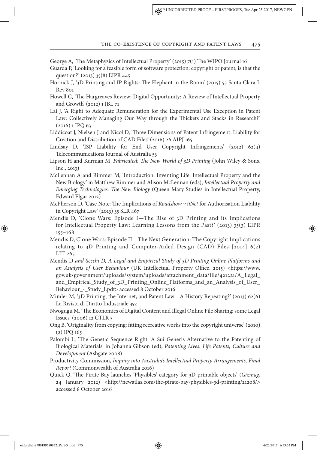George A, 'The Metaphysics of Intellectual Property' (2015)  $7(1)$  The WIPO Journal 16

- Guarda P, 'Looking for a feasible form of sofware protection: copyright or patent, is that the question?' (2013) 35(8) EIPR 445
- Hornick J, '3D Printing and IP Rights: The Elephant in the Room' (2015) 55 Santa Clara L Rev 801
- Howell C, 'The Hargreaves Review: Digital Opportunity: A Review of Intellectual Property and Growth' (2012) 1 JBL 71
- Lai J, 'A Right to Adequate Remuneration for the Experimental Use Exception in Patent Law: Collectively Managing Our Way through the Thickets and Stacks in Research?'  $(2016)$  1 IPQ 63
- Liddicoat J, Nielsen J and Nicol D, 'Tree Dimensions of Patent Infringement: Liability for Creation and Distribution of CAD Files' (2016) 26 AIPJ 165
- Lindsay D, 'ISP Liability for End User Copyright Infringements' (2012) 62(4) Telecommunications Journal of Australia 53
- Lipson H and Kurman M, *Fabricated:* T*e New World of* 3*D Printing* (John Wiley & Sons, Inc., 2013)
- McLennan A and Rimmer M, 'Introduction: Inventing Life: Intellectual Property and the New Biology' in Matthew Rimmer and Alison McLennan (eds), *Intellectual Property and Emerging Technologies: The New Biology* (Queen Mary Studies in Intellectual Property, Edward Elgar 2012)
- McPherson D, 'Case Note: The Implications of *Roadshow v iiNet* for Authorisation Liability in Copyright Law' (2013) 35 SLR 467
- Mendis D, 'Clone Wars: Episode I—The Rise of 3D Printing and its Implications for Intellectual Property Law: Learning Lessons from the Past?' (2013) 35(3) EIPR 155–168
- Mendis D, Clone Wars: Episode II—The Next Generation: The Copyright Implications relating to 3D Printing and Computer-Aided Design (CAD) Files [2014] 6(2) LIT 265
- Mendis D *and Secchi D, A Legal and Empirical Study of* 3*D Printing Online Platforms and*  an Analysis of User Behaviour (UK Intellectual Property Office, 2015) <https://www. gov.uk/government/uploads/system/uploads/attachment\_data/file/421221/A\_Legal\_ and\_Empirical\_Study\_of\_3D\_Printing\_Online\_Platforms\_and\_an\_Analysis\_of\_User\_ Behaviour\_-\_Study\_I.pdf> accessed 8 October 2016
- Mimler M, '3D Printing, the Internet, and Patent Law—A History Repeating?' (2013) 62(6) La Rivista di Diritto Industriale 352
- Nwogugu M, 'Te Economics of Digital Content and Illegal Online File Sharing: some Legal Issues' (2006) 12 CTLR 5
- Ong B, 'Originality from copying: ftting recreative works into the copyright universe' (2010) (2) IPQ 165
- Palombi L, 'Te Genetic Sequence Right: A Sui Generis Alternative to the Patenting of Biological Materials' in Johanna Gibson (ed), *Patenting Lives: Life Patents, Culture and Development* (Ashgate 2008)
- Productivity Commission, *Inquiry into Australia's Intellectual Property Arrangements, Final Report* (Commonwealth of Australia 2016)
- Quick Q, 'Te Pirate Bay launches 'Physibles' category for 3D printable objects' (*Gizmag*, 24 January 2012) <http://newatlas.com/the-pirate-bay-physibles-3d-printing/21208/> accessed 8 October 2016

oxfordhb-9780199680832\_Part-3.indd 475 4/25/2017 6:53:53 PM

⊕